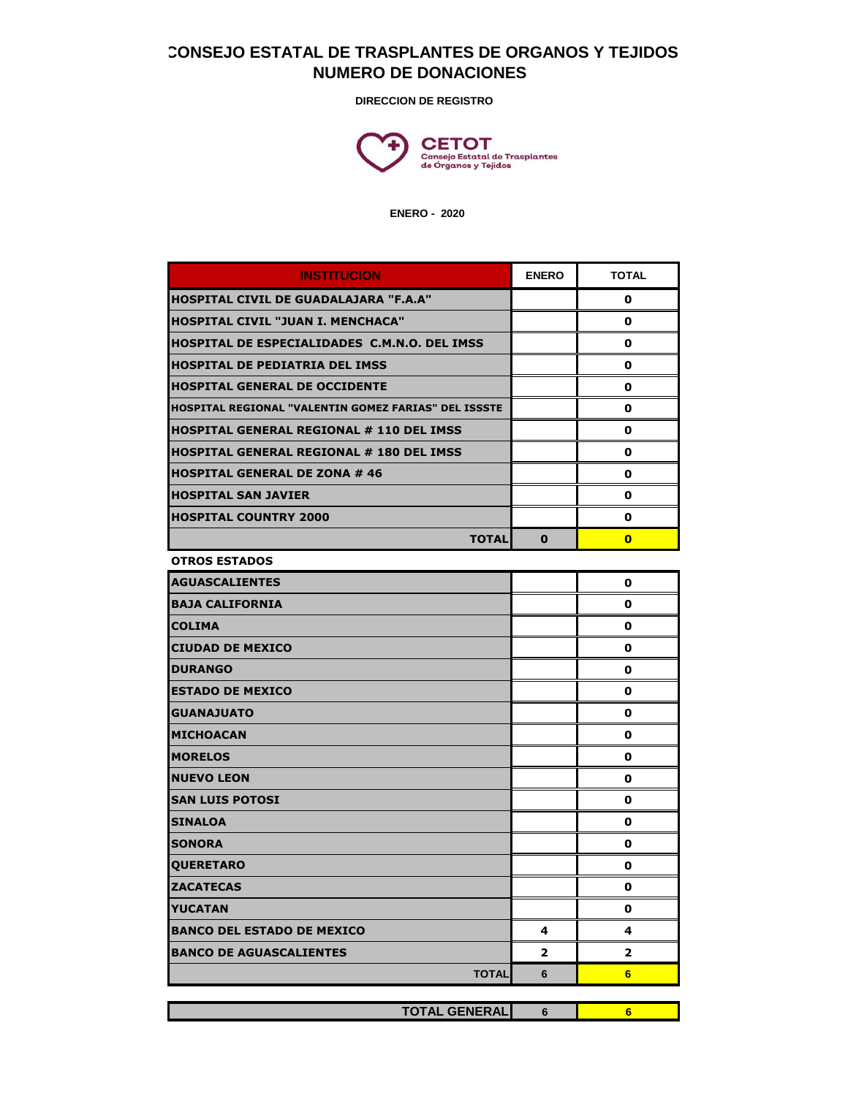## **CONSEJO ESTATAL DE TRASPLANTES DE ORGANOS Y TEJIDOS NUMERO DE DONACIONES**

**DIRECCION DE REGISTRO**



 **ENERO - 2020**

| <b>INSTITUCION</b>                                   | <b>ENERO</b> | <b>TOTAL</b> |
|------------------------------------------------------|--------------|--------------|
| IHOSPITAL CIVIL DE GUADALAJARA "F.A.A"               |              | 0            |
| HOSPITAL CIVIL "JUAN I. MENCHACA"                    |              | 0            |
| IHOSPITAL DE ESPECIALIDADES  C.M.N.O. DEL IMSS       |              | 0            |
| <b>HOSPITAL DE PEDIATRIA DEL IMSS</b>                |              | 0            |
| <b>HOSPITAL GENERAL DE OCCIDENTE</b>                 |              | 0            |
| HOSPITAL REGIONAL "VALENTIN GOMEZ FARIAS" DEL ISSSTE |              | 0            |
| IHOSPITAL GENERAL REGIONAL # 110 DEL IMSS            |              | 0            |
| IHOSPITAL GENERAL REGIONAL # 180 DEL IMSS            |              | 0            |
| IHOSPITAL GENERAL DE ZONA # 46                       |              | 0            |
| <b>HOSPITAL SAN JAVIER</b>                           |              | 0            |
| <b>HOSPITAL COUNTRY 2000</b>                         |              | 0            |
| <b>TOTAL</b>                                         | 0            | $\bf{0}$     |
| <b>OTROS ESTADOS</b>                                 |              |              |
| <b>AGUASCALIENTES</b>                                |              | 0            |
| <b>BAJA CALIFORNIA</b>                               |              | 0            |
| <b>COLIMA</b>                                        |              | 0            |
| <b>CIUDAD DE MEXICO</b>                              |              | 0            |
| <b>DURANGO</b>                                       |              | 0            |
| <b>ESTADO DE MEXICO</b>                              |              | 0            |
| <b>GUANAJUATO</b>                                    |              | 0            |
| <b>MICHOACAN</b>                                     |              | 0            |
| <b>IMORELOS</b>                                      |              | 0            |
| <b>NUEVO LEON</b>                                    |              | 0            |
| <b>SAN LUIS POTOSI</b>                               |              | 0            |
| <b>SINALOA</b>                                       |              | 0            |
| <b>SONORA</b>                                        |              | 0            |
| <b>QUERETARO</b>                                     |              | 0            |
| <b>ZACATECAS</b>                                     |              | 0            |
| <b>IYUCATAN</b>                                      |              | 0            |
| <b>BANCO DEL ESTADO DE MEXICO</b>                    | 4            | 4            |
| <b>BANCO DE AGUASCALIENTES</b>                       | 2            | 2            |
| <b>TOTAL</b>                                         | 6            | 6            |
|                                                      |              |              |
| <b>TOTAL GENERAL</b>                                 | 6            | 6            |